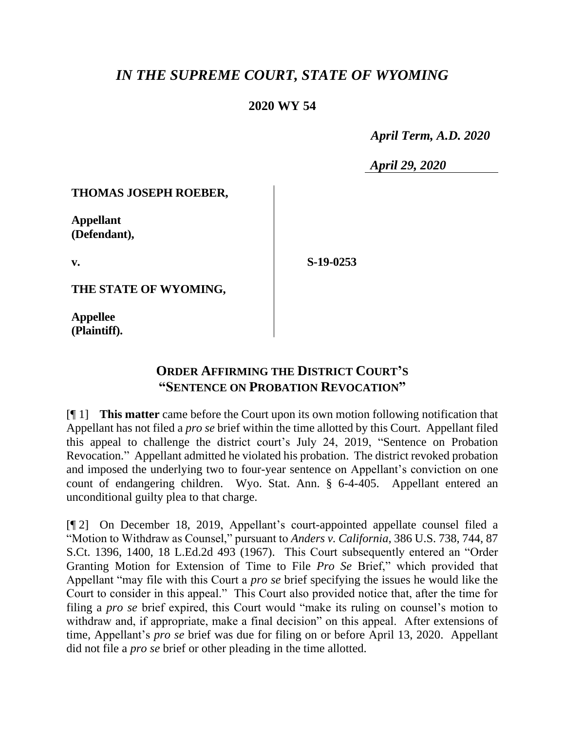# *IN THE SUPREME COURT, STATE OF WYOMING*

## **2020 WY 54**

 *April Term, A.D. 2020*

*April 29, 2020*

#### **THOMAS JOSEPH ROEBER,**

**Appellant (Defendant),**

**v.**

**S-19-0253**

**THE STATE OF WYOMING,**

**Appellee (Plaintiff).**

## **ORDER AFFIRMING THE DISTRICT COURT'S "SENTENCE ON PROBATION REVOCATION"**

[¶ 1] **This matter** came before the Court upon its own motion following notification that Appellant has not filed a *pro se* brief within the time allotted by this Court. Appellant filed this appeal to challenge the district court's July 24, 2019, "Sentence on Probation Revocation." Appellant admitted he violated his probation. The district revoked probation and imposed the underlying two to four-year sentence on Appellant's conviction on one count of endangering children. Wyo. Stat. Ann. § 6-4-405. Appellant entered an unconditional guilty plea to that charge.

[¶ 2] On December 18, 2019, Appellant's court-appointed appellate counsel filed a "Motion to Withdraw as Counsel," pursuant to *Anders v. California*, 386 U.S. 738, 744, 87 S.Ct. 1396, 1400, 18 L.Ed.2d 493 (1967). This Court subsequently entered an "Order Granting Motion for Extension of Time to File *Pro Se* Brief," which provided that Appellant "may file with this Court a *pro se* brief specifying the issues he would like the Court to consider in this appeal." This Court also provided notice that, after the time for filing a *pro se* brief expired, this Court would "make its ruling on counsel's motion to withdraw and, if appropriate, make a final decision" on this appeal. After extensions of time, Appellant's *pro se* brief was due for filing on or before April 13, 2020. Appellant did not file a *pro se* brief or other pleading in the time allotted.